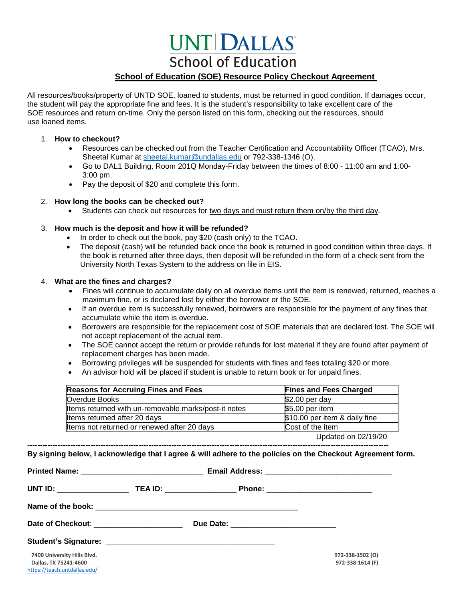# **UNT DALLAS School of Education**

### **School of Education (SOE) Resource Policy Checkout Agreement**

All resources/books/property of UNTD SOE, loaned to students, must be returned in good condition. If damages occur, the student will pay the appropriate fine and fees. It is the student's responsibility to take excellent care of the SOE resources and return on-time. Only the person listed on this form, checking out the resources, should use loaned items.

#### 1. **How to checkout?**

- Resources can be checked out from the Teacher Certification and Accountability Officer (TCAO), Mrs. Sheetal Kumar at [sheetal.kumar@undallas.edu](mailto:sheetal.kumar@undallas.edu) or 792-338-1346 (O).
- Go to DAL1 Building, Room 201Q Monday-Friday between the times of 8:00 11:00 am and 1:00- 3:00 pm.
- Pay the deposit of \$20 and complete this form.

#### 2. **How long the books can be checked out?**

• Students can check out resources for two days and must return them on/by the third day.

#### 3. **How much is the deposit and how it will be refunded?**

- In order to check out the book, pay \$20 (cash only) to the TCAO.
- The deposit (cash) will be refunded back once the book is returned in good condition within three days. If the book is returned after three days, then deposit will be refunded in the form of a check sent from the University North Texas System to the address on file in EIS.

#### 4. **What are the fines and charges?**

<https://teach.untdallas.edu/>

- Fines will continue to accumulate daily on all overdue items until the item is renewed, returned, reaches a maximum fine, or is declared lost by either the borrower or the SOE.
- If an overdue item is successfully renewed, borrowers are responsible for the payment of any fines that accumulate while the item is overdue.
- Borrowers are responsible for the replacement cost of SOE materials that are declared lost. The SOE will not accept replacement of the actual item.
- The SOE cannot accept the return or provide refunds for lost material if they are found after payment of replacement charges has been made.
- Borrowing privileges will be suspended for students with fines and fees totaling \$20 or more.
- An advisor hold will be placed if student is unable to return book or for unpaid fines.

| <b>Reasons for Accruing Fines and Fees</b>           | <b>Fines and Fees Charged</b> |
|------------------------------------------------------|-------------------------------|
| Overdue Books                                        | \$2.00 per day                |
| Items returned with un-removable marks/post-it notes | \$5.00 per item               |
| Items returned after 20 days                         | \$10.00 per item & daily fine |
| Items not returned or renewed after 20 days          | Cost of the item              |
|                                                      | Updated on 02/19/20           |

**----------------------------------------------------------------------------------------------------------------------------------------------- By signing below, I acknowledge that I agree & will adhere to the policies on the Checkout Agreement form.**

|                                           | UNT ID: ___________________________TEA ID: _______________________Phone: ___________________________ |                  |
|-------------------------------------------|------------------------------------------------------------------------------------------------------|------------------|
|                                           |                                                                                                      |                  |
| Date of Checkout: _______________________ |                                                                                                      |                  |
|                                           |                                                                                                      |                  |
| 7400 University Hills Blvd.               |                                                                                                      | 972-338-1502 (O) |
| Dallas, TX 75241-4600                     |                                                                                                      | 972-338-1614 (F) |